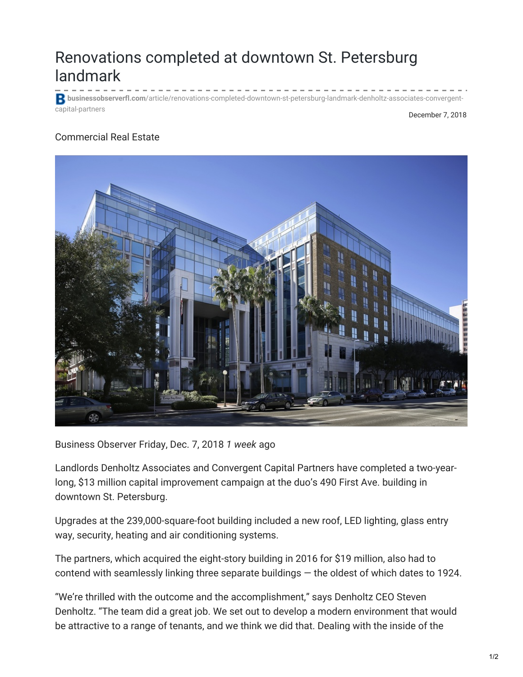## Renovations completed at downtown St. Petersburg landmark

**businessobserverfl.com**[/article/renovations-completed-downtown-st-petersburg-landmark-denholtz-associates-convergent](https://www.businessobserverfl.com/article/renovations-completed-downtown-st-petersburg-landmark-denholtz-associates-convergent-capital-partners)capital-partners

## December 7, 2018

## Commercial Real Estate



Business Observer Friday, Dec. 7, 2018 *1 week* ago

Landlords Denholtz Associates and Convergent Capital Partners have completed a two-yearlong, \$13 million capital improvement campaign at the duo's 490 First Ave. building in downtown St. Petersburg.

Upgrades at the 239,000-square-foot building included a new roof, LED lighting, glass entry way, security, heating and air conditioning systems.

The partners, which acquired the eight-story building in 2016 for \$19 million, also had to contend with seamlessly linking three separate buildings — the oldest of which dates to 1924.

"We're thrilled with the outcome and the accomplishment," says Denholtz CEO Steven Denholtz. "The team did a great job. We set out to develop a modern environment that would be attractive to a range of tenants, and we think we did that. Dealing with the inside of the